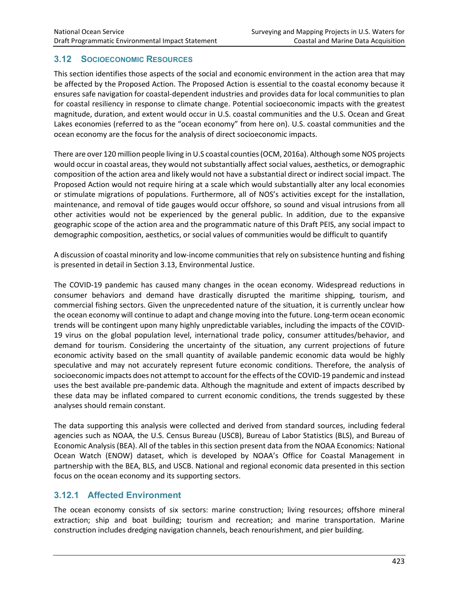# **3.12 SOCIOECONOMIC RESOURCES**

This section identifies those aspects of the social and economic environment in the action area that may be affected by the Proposed Action. The Proposed Action is essential to the coastal economy because it ensures safe navigation for coastal-dependent industries and provides data for local communities to plan for coastal resiliency in response to climate change. Potential socioeconomic impacts with the greatest magnitude, duration, and extent would occur in U.S. coastal communities and the U.S. Ocean and Great Lakes economies (referred to as the "ocean economy" from here on). U.S. coastal communities and the ocean economy are the focus for the analysis of direct socioeconomic impacts.

There are over 120 million people living in U.S coastal counties (OCM, 2016a). Although some NOS projects would occur in coastal areas, they would not substantially affect social values, aesthetics, or demographic composition of the action area and likely would not have a substantial direct or indirect social impact. The Proposed Action would not require hiring at a scale which would substantially alter any local economies or stimulate migrations of populations. Furthermore, all of NOS's activities except for the installation, maintenance, and removal of tide gauges would occur offshore, so sound and visual intrusions from all other activities would not be experienced by the general public. In addition, due to the expansive geographic scope of the action area and the programmatic nature of this Draft PEIS, any social impact to demographic composition, aesthetics, or social values of communities would be difficult to quantify

A discussion of coastal minority and low-income communities that rely on subsistence hunting and fishing is presented in detail in Section 3.13, Environmental Justice.

The COVID-19 pandemic has caused many changes in the ocean economy. Widespread reductions in consumer behaviors and demand have drastically disrupted the maritime shipping, tourism, and commercial fishing sectors. Given the unprecedented nature of the situation, it is currently unclear how the ocean economy will continue to adapt and change moving into the future. Long-term ocean economic trends will be contingent upon many highly unpredictable variables, including the impacts of the COVID-19 virus on the global population level, international trade policy, consumer attitudes/behavior, and demand for tourism. Considering the uncertainty of the situation, any current projections of future economic activity based on the small quantity of available pandemic economic data would be highly speculative and may not accurately represent future economic conditions. Therefore, the analysis of socioeconomic impacts does not attempt to account for the effects of the COVID-19 pandemic and instead uses the best available pre-pandemic data. Although the magnitude and extent of impacts described by these data may be inflated compared to current economic conditions, the trends suggested by these analyses should remain constant.

The data supporting this analysis were collected and derived from standard sources, including federal agencies such as NOAA, the U.S. Census Bureau (USCB), Bureau of Labor Statistics (BLS), and Bureau of Economic Analysis (BEA). All of the tables in this section present data from the NOAA Economics: National Ocean Watch (ENOW) dataset, which is developed by NOAA's Office for Coastal Management in partnership with the BEA, BLS, and USCB. National and regional economic data presented in this section focus on the ocean economy and its supporting sectors.

# **3.12.1 Affected Environment**

The ocean economy consists of six sectors: marine construction; living resources; offshore mineral extraction; ship and boat building; tourism and recreation; and marine transportation. Marine construction includes dredging navigation channels, beach renourishment, and pier building.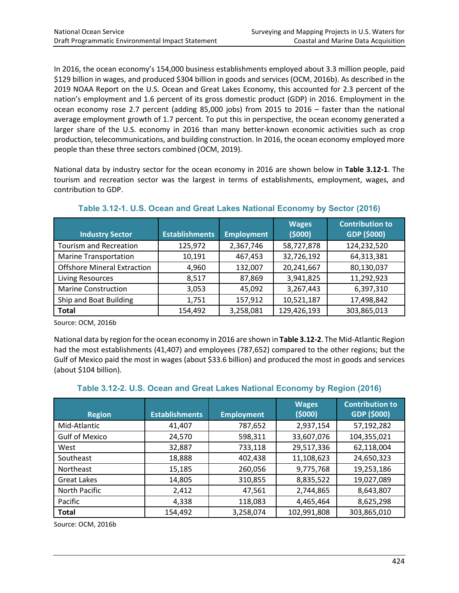In 2016, the ocean economy's 154,000 business establishments employed about 3.3 million people, paid \$129 billion in wages, and produced \$304 billion in goods and services (OCM, 2016b). As described in the 2019 NOAA Report on the U.S. Ocean and Great Lakes Economy, this accounted for 2.3 percent of the nation's employment and 1.6 percent of its gross domestic product (GDP) in 2016. Employment in the ocean economy rose 2.7 percent (adding 85,000 jobs) from 2015 to 2016 – faster than the national average employment growth of 1.7 percent. To put this in perspective, the ocean economy generated a larger share of the U.S. economy in 2016 than many better-known economic activities such as crop production, telecommunications, and building construction. In 2016, the ocean economy employed more people than these three sectors combined (OCM, 2019).

National data by industry sector for the ocean economy in 2016 are shown below in **Table 3.12-1**. The tourism and recreation sector was the largest in terms of establishments, employment, wages, and contribution to GDP.

| <b>Industry Sector</b>             | <b>Establishments</b> | <b>Employment</b> | <b>Wages</b><br>(5000) | <b>Contribution to</b><br>GDP (\$000) |
|------------------------------------|-----------------------|-------------------|------------------------|---------------------------------------|
| <b>Tourism and Recreation</b>      | 125,972               | 2,367,746         | 58,727,878             | 124,232,520                           |
| <b>Marine Transportation</b>       | 10,191                | 467,453           | 32,726,192             | 64,313,381                            |
| <b>Offshore Mineral Extraction</b> | 4,960                 | 132,007           | 20,241,667             | 80,130,037                            |
| <b>Living Resources</b>            | 8,517                 | 87,869            | 3,941,825              | 11,292,923                            |
| <b>Marine Construction</b>         | 3,053                 | 45,092            | 3,267,443              | 6,397,310                             |
| Ship and Boat Building             | 1,751                 | 157,912           | 10,521,187             | 17,498,842                            |
| <b>Total</b>                       | 154,492               | 3,258,081         | 129,426,193            | 303,865,013                           |

**Table 3.12-1. U.S. Ocean and Great Lakes National Economy by Sector (2016)**

Source: OCM, 2016b

National data by region for the ocean economy in 2016 are shown in **Table 3.12-2**. The Mid-Atlantic Region had the most establishments (41,407) and employees (787,652) compared to the other regions; but the Gulf of Mexico paid the most in wages (about \$33.6 billion) and produced the most in goods and services (about \$104 billion).

| <b>Region</b>         | <b>Establishments</b> | <b>Employment</b> | <b>Wages</b><br>(5000) | <b>Contribution to</b><br>GDP (\$000) |
|-----------------------|-----------------------|-------------------|------------------------|---------------------------------------|
| Mid-Atlantic          | 41,407                | 787,652           | 2,937,154              | 57,192,282                            |
| <b>Gulf of Mexico</b> | 24,570                | 598,311           | 33,607,076             | 104,355,021                           |
| West                  | 32,887                | 733,118           | 29,517,336             | 62,118,004                            |
| Southeast             | 18,888                | 402,438           | 11,108,623             | 24,650,323                            |
| Northeast             | 15,185                | 260,056           | 9,775,768              | 19,253,186                            |
| <b>Great Lakes</b>    | 14,805                | 310,855           | 8,835,522              | 19,027,089                            |
| North Pacific         | 2,412                 | 47,561            | 2,744,865              | 8,643,807                             |
| Pacific               | 4,338                 | 118,083           | 4,465,464              | 8,625,298                             |
| <b>Total</b>          | 154,492               | 3,258,074         | 102,991,808            | 303,865,010                           |

# **Table 3.12-2. U.S. Ocean and Great Lakes National Economy by Region (2016)**

Source: OCM, 2016b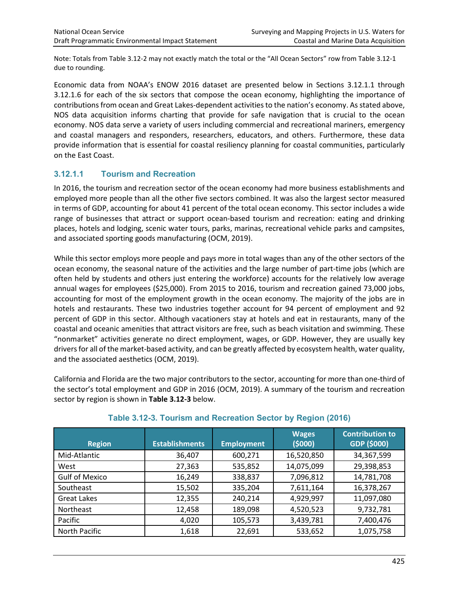Note: Totals from Table 3.12-2 may not exactly match the total or the "All Ocean Sectors" row from Table 3.12-1 due to rounding.

Economic data from NOAA's ENOW 2016 dataset are presented below in Sections 3.12.1.1 through 3.12.1.6 for each of the six sectors that compose the ocean economy, highlighting the importance of contributions from ocean and Great Lakes-dependent activities to the nation's economy. As stated above, NOS data acquisition informs charting that provide for safe navigation that is crucial to the ocean economy. NOS data serve a variety of users including commercial and recreational mariners, emergency and coastal managers and responders, researchers, educators, and others. Furthermore, these data provide information that is essential for coastal resiliency planning for coastal communities, particularly on the East Coast.

# **3.12.1.1 Tourism and Recreation**

In 2016, the tourism and recreation sector of the ocean economy had more business establishments and employed more people than all the other five sectors combined. It was also the largest sector measured in terms of GDP, accounting for about 41 percent of the total ocean economy. This sector includes a wide range of businesses that attract or support ocean-based tourism and recreation: eating and drinking places, hotels and lodging, scenic water tours, parks, marinas, recreational vehicle parks and campsites, and associated sporting goods manufacturing (OCM, 2019).

While this sector employs more people and pays more in total wages than any of the other sectors of the ocean economy, the seasonal nature of the activities and the large number of part-time jobs (which are often held by students and others just entering the workforce) accounts for the relatively low average annual wages for employees (\$25,000). From 2015 to 2016, tourism and recreation gained 73,000 jobs, accounting for most of the employment growth in the ocean economy. The majority of the jobs are in hotels and restaurants. These two industries together account for 94 percent of employment and 92 percent of GDP in this sector. Although vacationers stay at hotels and eat in restaurants, many of the coastal and oceanic amenities that attract visitors are free, such as beach visitation and swimming. These "nonmarket" activities generate no direct employment, wages, or GDP. However, they are usually key drivers for all of the market-based activity, and can be greatly affected by ecosystem health, water quality, and the associated aesthetics (OCM, 2019).

California and Florida are the two major contributors to the sector, accounting for more than one-third of the sector's total employment and GDP in 2016 (OCM, 2019). A summary of the tourism and recreation sector by region is shown in **Table 3.12-3** below.

| <b>Region</b>         | <b>Establishments</b> | <b>Employment</b> | <b>Wages</b><br>(5000) | <b>Contribution to</b><br>GDP (\$000) |
|-----------------------|-----------------------|-------------------|------------------------|---------------------------------------|
| Mid-Atlantic          | 36,407                | 600,271           | 16,520,850             | 34,367,599                            |
| West                  | 27,363                | 535,852           | 14,075,099             | 29,398,853                            |
| <b>Gulf of Mexico</b> | 16,249                | 338,837           | 7,096,812              | 14,781,708                            |
| Southeast             | 15,502                | 335,204           | 7,611,164              | 16,378,267                            |
| <b>Great Lakes</b>    | 12,355                | 240,214           | 4,929,997              | 11,097,080                            |
| Northeast             | 12,458                | 189,098           | 4,520,523              | 9,732,781                             |
| Pacific               | 4,020                 | 105,573           | 3,439,781              | 7,400,476                             |
| North Pacific         | 1,618                 | 22,691            | 533,652                | 1,075,758                             |

#### **Table 3.12-3. Tourism and Recreation Sector by Region (2016)**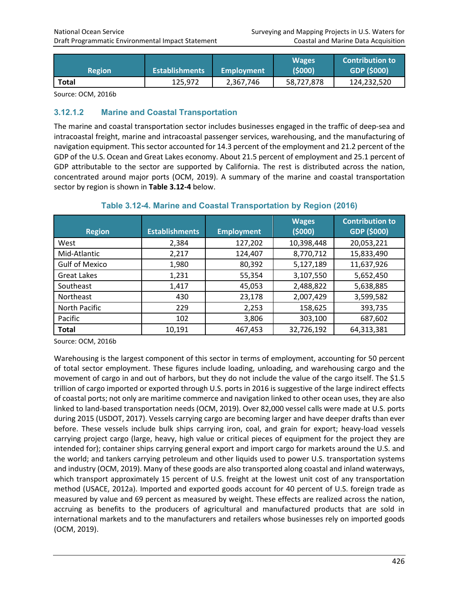| <b>Region</b> | <b>Establishments</b> | Employment | <b>Wages</b><br>(5000) | <b>Contribution to</b><br>GDP (\$000) |
|---------------|-----------------------|------------|------------------------|---------------------------------------|
| <b>Total</b>  | 125,972               | 2,367,746  | 58,727,878             | 124,232,520                           |

Source: OCM, 2016b

#### **3.12.1.2 Marine and Coastal Transportation**

The marine and coastal transportation sector includes businesses engaged in the traffic of deep-sea and intracoastal freight, marine and intracoastal passenger services, warehousing, and the manufacturing of navigation equipment. This sector accounted for 14.3 percent of the employment and 21.2 percent of the GDP of the U.S. Ocean and Great Lakes economy. About 21.5 percent of employment and 25.1 percent of GDP attributable to the sector are supported by California. The rest is distributed across the nation, concentrated around major ports (OCM, 2019). A summary of the marine and coastal transportation sector by region is shown in **Table 3.12-4** below.

| <b>Region</b>         | <b>Establishments</b> | <b>Employment</b> | <b>Wages</b><br>(5000) | <b>Contribution to</b><br>GDP (\$000) |
|-----------------------|-----------------------|-------------------|------------------------|---------------------------------------|
| West                  | 2,384                 | 127,202           | 10,398,448             | 20,053,221                            |
| Mid-Atlantic          | 2,217                 | 124,407           | 8,770,712              | 15,833,490                            |
| <b>Gulf of Mexico</b> | 1,980                 | 80,392            | 5,127,189              | 11,637,926                            |
| <b>Great Lakes</b>    | 1,231                 | 55,354            | 3,107,550              | 5,652,450                             |
| Southeast             | 1,417                 | 45,053            | 2,488,822              | 5,638,885                             |
| Northeast             | 430                   | 23,178            | 2,007,429              | 3,599,582                             |
| North Pacific         | 229                   | 2,253             | 158,625                | 393,735                               |
| Pacific               | 102                   | 3,806             | 303,100                | 687,602                               |
| <b>Total</b>          | 10,191                | 467,453           | 32,726,192             | 64,313,381                            |

#### **Table 3.12-4. Marine and Coastal Transportation by Region (2016)**

Source: OCM, 2016b

Warehousing is the largest component of this sector in terms of employment, accounting for 50 percent of total sector employment. These figures include loading, unloading, and warehousing cargo and the movement of cargo in and out of harbors, but they do not include the value of the cargo itself. The \$1.5 trillion of cargo imported or exported through U.S. ports in 2016 is suggestive of the large indirect effects of coastal ports; not only are maritime commerce and navigation linked to other ocean uses, they are also linked to land-based transportation needs (OCM, 2019). Over 82,000 vessel calls were made at U.S. ports during 2015 (USDOT, 2017). Vessels carrying cargo are becoming larger and have deeper drafts than ever before. These vessels include bulk ships carrying iron, coal, and grain for export; heavy-load vessels carrying project cargo (large, heavy, high value or critical pieces of equipment for the project they are intended for); container ships carrying general export and import cargo for markets around the U.S. and the world; and tankers carrying petroleum and other liquids used to power U.S. transportation systems and industry (OCM, 2019). Many of these goods are also transported along coastal and inland waterways, which transport approximately 15 percent of U.S. freight at the lowest unit cost of any transportation method (USACE, 2012a). Imported and exported goods account for 40 percent of U.S. foreign trade as measured by value and 69 percent as measured by weight. These effects are realized across the nation, accruing as benefits to the producers of agricultural and manufactured products that are sold in international markets and to the manufacturers and retailers whose businesses rely on imported goods (OCM, 2019).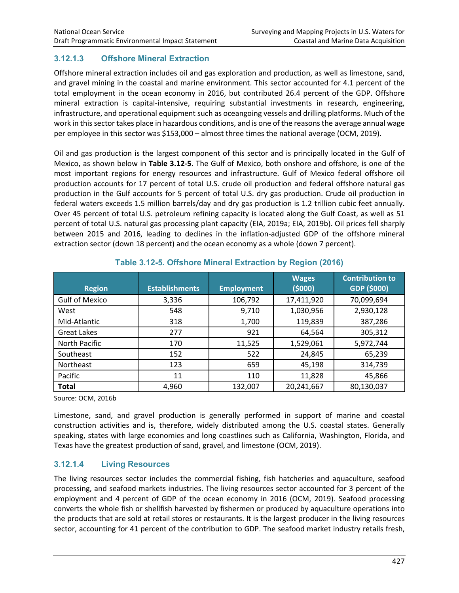# **3.12.1.3 Offshore Mineral Extraction**

Offshore mineral extraction includes oil and gas exploration and production, as well as limestone, sand, and gravel mining in the coastal and marine environment. This sector accounted for 4.1 percent of the total employment in the ocean economy in 2016, but contributed 26.4 percent of the GDP. Offshore mineral extraction is capital-intensive, requiring substantial investments in research, engineering, infrastructure, and operational equipment such as oceangoing vessels and drilling platforms. Much of the work in this sector takes place in hazardous conditions, and is one of the reasons the average annual wage per employee in this sector was \$153,000 – almost three times the national average (OCM, 2019).

Oil and gas production is the largest component of this sector and is principally located in the Gulf of Mexico, as shown below in **Table 3.12-5**. The Gulf of Mexico, both onshore and offshore, is one of the most important regions for energy resources and infrastructure. Gulf of Mexico federal offshore oil production accounts for 17 percent of total U.S. crude oil production and federal offshore natural gas production in the Gulf accounts for 5 percent of total U.S. dry gas production. Crude oil production in federal waters exceeds 1.5 million barrels/day and dry gas production is 1.2 trillion cubic feet annually. Over 45 percent of total U.S. petroleum refining capacity is located along the Gulf Coast, as well as 51 percent of total U.S. natural gas processing plant capacity (EIA, 2019a; EIA, 2019b). Oil prices fell sharply between 2015 and 2016, leading to declines in the inflation-adjusted GDP of the offshore mineral extraction sector (down 18 percent) and the ocean economy as a whole (down 7 percent).

| <b>Region</b>         | <b>Establishments</b> | <b>Employment</b> | <b>Wages</b><br>(5000) | <b>Contribution to</b><br>GDP (\$000) |
|-----------------------|-----------------------|-------------------|------------------------|---------------------------------------|
| <b>Gulf of Mexico</b> | 3,336                 | 106,792           | 17,411,920             | 70,099,694                            |
| West                  | 548                   | 9,710             | 1,030,956              | 2,930,128                             |
| Mid-Atlantic          | 318                   | 1,700             | 119,839                | 387,286                               |
| Great Lakes           | 277                   | 921               | 64,564                 | 305,312                               |
| North Pacific         | 170                   | 11,525            | 1,529,061              | 5,972,744                             |
| Southeast             | 152                   | 522               | 24,845                 | 65,239                                |
| Northeast             | 123                   | 659               | 45,198                 | 314,739                               |
| Pacific               | 11                    | 110               | 11,828                 | 45,866                                |
| <b>Total</b>          | 4,960                 | 132,007           | 20,241,667             | 80,130,037                            |

#### **Table 3.12-5. Offshore Mineral Extraction by Region (2016)**

Source: OCM, 2016b

Limestone, sand, and gravel production is generally performed in support of marine and coastal construction activities and is, therefore, widely distributed among the U.S. coastal states. Generally speaking, states with large economies and long coastlines such as California, Washington, Florida, and Texas have the greatest production of sand, gravel, and limestone (OCM, 2019).

# **3.12.1.4 Living Resources**

The living resources sector includes the commercial fishing, fish hatcheries and aquaculture, seafood processing, and seafood markets industries. The living resources sector accounted for 3 percent of the employment and 4 percent of GDP of the ocean economy in 2016 (OCM, 2019). Seafood processing converts the whole fish or shellfish harvested by fishermen or produced by aquaculture operations into the products that are sold at retail stores or restaurants. It is the largest producer in the living resources sector, accounting for 41 percent of the contribution to GDP. The seafood market industry retails fresh,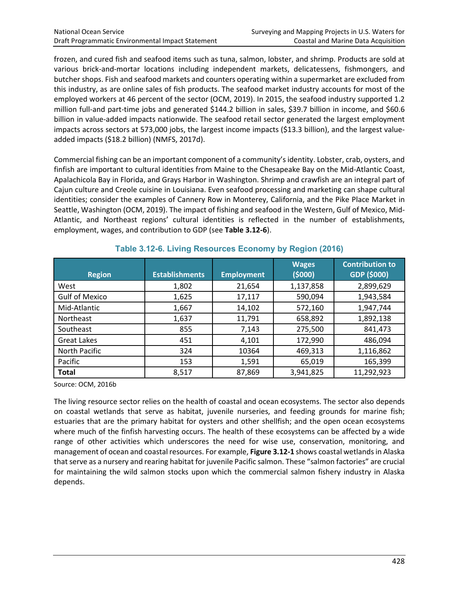frozen, and cured fish and seafood items such as tuna, salmon, lobster, and shrimp. Products are sold at various brick-and-mortar locations including independent markets, delicatessens, fishmongers, and butcher shops. Fish and seafood markets and counters operating within a supermarket are excluded from this industry, as are online sales of fish products. The seafood market industry accounts for most of the employed workers at 46 percent of the sector (OCM, 2019). In 2015, the seafood industry supported 1.2 million full-and part-time jobs and generated \$144.2 billion in sales, \$39.7 billion in income, and \$60.6 billion in value-added impacts nationwide. The seafood retail sector generated the largest employment impacts across sectors at 573,000 jobs, the largest income impacts (\$13.3 billion), and the largest valueadded impacts (\$18.2 billion) (NMFS, 2017d).

Commercial fishing can be an important component of a community's identity. Lobster, crab, oysters, and finfish are important to cultural identities from Maine to the Chesapeake Bay on the Mid-Atlantic Coast, Apalachicola Bay in Florida, and Grays Harbor in Washington. Shrimp and crawfish are an integral part of Cajun culture and Creole cuisine in Louisiana. Even seafood processing and marketing can shape cultural identities; consider the examples of Cannery Row in Monterey, California, and the Pike Place Market in Seattle, Washington (OCM, 2019). The impact of fishing and seafood in the Western, Gulf of Mexico, Mid-Atlantic, and Northeast regions' cultural identities is reflected in the number of establishments, employment, wages, and contribution to GDP (see **Table 3.12-6**).

| <b>Region</b>         | <b>Establishments</b> | <b>Employment</b> | <b>Wages</b><br>(5000) | <b>Contribution to</b><br>GDP (\$000) |
|-----------------------|-----------------------|-------------------|------------------------|---------------------------------------|
| West                  | 1,802                 | 21,654            | 1,137,858              | 2,899,629                             |
| <b>Gulf of Mexico</b> | 1,625                 | 17,117            | 590,094                | 1,943,584                             |
| Mid-Atlantic          | 1,667                 | 14,102            | 572,160                | 1,947,744                             |
| Northeast             | 1,637                 | 11,791            | 658,892                | 1,892,138                             |
| Southeast             | 855                   | 7,143             | 275,500                | 841,473                               |
| <b>Great Lakes</b>    | 451                   | 4,101             | 172,990                | 486,094                               |
| North Pacific         | 324                   | 10364             | 469,313                | 1,116,862                             |
| Pacific               | 153                   | 1,591             | 65,019                 | 165,399                               |
| <b>Total</b>          | 8,517                 | 87,869            | 3,941,825              | 11,292,923                            |

#### **Table 3.12-6. Living Resources Economy by Region (2016)**

Source: OCM, 2016b

The living resource sector relies on the health of coastal and ocean ecosystems. The sector also depends on coastal wetlands that serve as habitat, juvenile nurseries, and feeding grounds for marine fish; estuaries that are the primary habitat for oysters and other shellfish; and the open ocean ecosystems where much of the finfish harvesting occurs. The health of these ecosystems can be affected by a wide range of other activities which underscores the need for wise use, conservation, monitoring, and management of ocean and coastal resources. For example, **Figure 3.12-1** shows coastal wetlands in Alaska that serve as a nursery and rearing habitat for juvenile Pacific salmon. These "salmon factories" are crucial for maintaining the wild salmon stocks upon which the commercial salmon fishery industry in Alaska depends.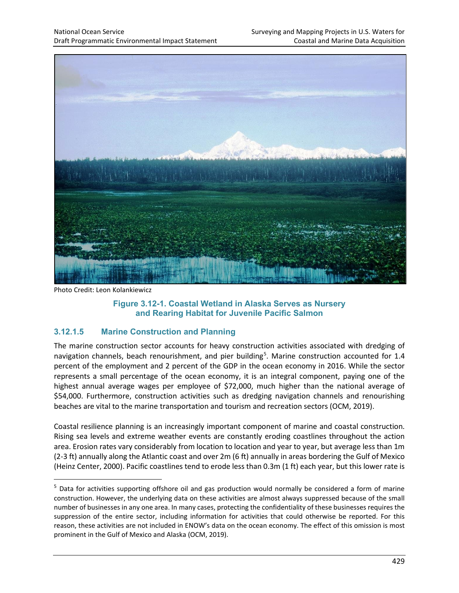

Photo Credit: Leon Kolankiewicz

#### **Figure 3.12-1. Coastal Wetland in Alaska Serves as Nursery and Rearing Habitat for Juvenile Pacific Salmon**

# **3.12.1.5 Marine Construction and Planning**

The marine construction sector accounts for heavy construction activities associated with dredging of navigation channels, beach renourishment, and pier building<sup>[5](#page-6-0)</sup>. Marine construction accounted for 1.4 percent of the employment and 2 percent of the GDP in the ocean economy in 2016. While the sector represents a small percentage of the ocean economy, it is an integral component, paying one of the highest annual average wages per employee of \$72,000, much higher than the national average of \$54,000. Furthermore, construction activities such as dredging navigation channels and renourishing beaches are vital to the marine transportation and tourism and recreation sectors (OCM, 2019).

Coastal resilience planning is an increasingly important component of marine and coastal construction. Rising sea levels and extreme weather events are constantly eroding coastlines throughout the action area. Erosion rates vary considerably from location to location and year to year, but average less than 1m (2-3 ft) annually along the Atlantic coast and over 2m (6 ft) annually in areas bordering the Gulf of Mexico (Heinz Center, 2000). Pacific coastlines tend to erode less than 0.3m (1 ft) each year, but this lower rate is

<span id="page-6-0"></span><sup>5</sup> Data for activities supporting offshore oil and gas production would normally be considered a form of marine construction. However, the underlying data on these activities are almost always suppressed because of the small number of businesses in any one area. In many cases, protecting the confidentiality of these businesses requires the suppression of the entire sector, including information for activities that could otherwise be reported. For this reason, these activities are not included in ENOW's data on the ocean economy. The effect of this omission is most prominent in the Gulf of Mexico and Alaska (OCM, 2019).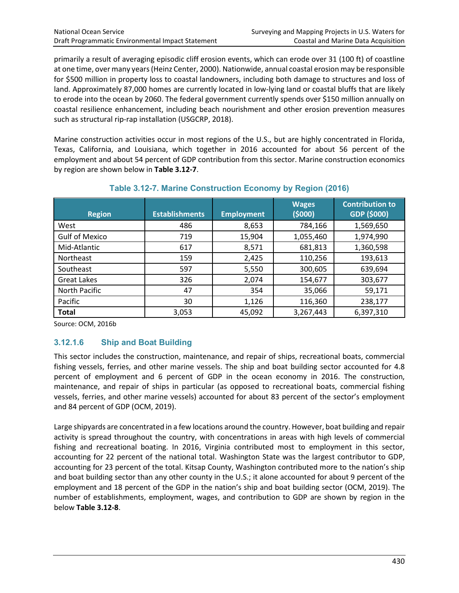primarily a result of averaging episodic cliff erosion events, which can erode over 31 (100 ft) of coastline at one time, over many years (Heinz Center, 2000). Nationwide, annual coastal erosion may be responsible for \$500 million in property loss to coastal landowners, including both damage to structures and loss of land. Approximately 87,000 homes are currently located in low-lying land or coastal bluffs that are likely to erode into the ocean by 2060. The federal government currently spends over \$150 million annually on coastal resilience enhancement, including beach nourishment and other erosion prevention measures such as structural rip-rap installation (USGCRP, 2018).

Marine construction activities occur in most regions of the U.S., but are highly concentrated in Florida, Texas, California, and Louisiana, which together in 2016 accounted for about 56 percent of the employment and about 54 percent of GDP contribution from this sector. Marine construction economics by region are shown below in **Table 3.12-7**.

| <b>Region</b>         | <b>Establishments</b> | <b>Employment</b> | <b>Wages</b><br>(5000) | <b>Contribution to</b><br>GDP (\$000) |
|-----------------------|-----------------------|-------------------|------------------------|---------------------------------------|
| West                  | 486                   | 8,653             | 784,166                | 1,569,650                             |
| <b>Gulf of Mexico</b> | 719                   | 15,904            | 1,055,460              | 1,974,990                             |
| Mid-Atlantic          | 617                   | 8,571             | 681,813                | 1,360,598                             |
| <b>Northeast</b>      | 159                   | 2,425             | 110,256                | 193,613                               |
| Southeast             | 597                   | 5,550             | 300,605                | 639,694                               |
| <b>Great Lakes</b>    | 326                   | 2,074             | 154,677                | 303,677                               |
| North Pacific         | 47                    | 354               | 35,066                 | 59,171                                |
| Pacific               | 30                    | 1,126             | 116,360                | 238,177                               |
| <b>Total</b>          | 3,053                 | 45,092            | 3,267,443              | 6,397,310                             |

#### **Table 3.12-7. Marine Construction Economy by Region (2016)**

Source: OCM, 2016b

# **3.12.1.6 Ship and Boat Building**

This sector includes the construction, maintenance, and repair of ships, recreational boats, commercial fishing vessels, ferries, and other marine vessels. The ship and boat building sector accounted for 4.8 percent of employment and 6 percent of GDP in the ocean economy in 2016. The construction, maintenance, and repair of ships in particular (as opposed to recreational boats, commercial fishing vessels, ferries, and other marine vessels) accounted for about 83 percent of the sector's employment and 84 percent of GDP (OCM, 2019).

Large shipyards are concentrated in a few locations around the country. However, boat building and repair activity is spread throughout the country, with concentrations in areas with high levels of commercial fishing and recreational boating. In 2016, Virginia contributed most to employment in this sector, accounting for 22 percent of the national total. Washington State was the largest contributor to GDP, accounting for 23 percent of the total. Kitsap County, Washington contributed more to the nation's ship and boat building sector than any other county in the U.S.; it alone accounted for about 9 percent of the employment and 18 percent of the GDP in the nation's ship and boat building sector (OCM, 2019). The number of establishments, employment, wages, and contribution to GDP are shown by region in the below **Table 3.12-8**.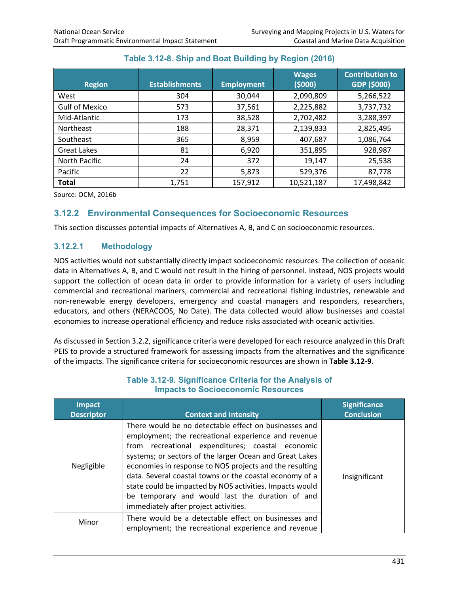| <b>Region</b>         | <b>Establishments</b> | <b>Employment</b> | <b>Wages</b><br>(5000) | <b>Contribution to</b><br>GDP (\$000) |
|-----------------------|-----------------------|-------------------|------------------------|---------------------------------------|
| West                  | 304                   | 30,044            | 2,090,809              | 5,266,522                             |
| <b>Gulf of Mexico</b> | 573                   | 37,561            | 2,225,882              | 3,737,732                             |
| Mid-Atlantic          | 173                   | 38,528            | 2,702,482              | 3,288,397                             |
| <b>Northeast</b>      | 188                   | 28,371            | 2,139,833              | 2,825,495                             |
| Southeast             | 365                   | 8,959             | 407,687                | 1,086,764                             |
| <b>Great Lakes</b>    | 81                    | 6,920             | 351,895                | 928,987                               |
| North Pacific         | 24                    | 372               | 19,147                 | 25,538                                |
| Pacific               | 22                    | 5,873             | 529,376                | 87,778                                |
| <b>Total</b>          | 1,751                 | 157,912           | 10,521,187             | 17,498,842                            |

# **Table 3.12-8. Ship and Boat Building by Region (2016)**

Source: OCM, 2016b

# **3.12.2 Environmental Consequences for Socioeconomic Resources**

This section discusses potential impacts of Alternatives A, B, and C on socioeconomic resources.

# **3.12.2.1 Methodology**

NOS activities would not substantially directly impact socioeconomic resources. The collection of oceanic data in Alternatives A, B, and C would not result in the hiring of personnel. Instead, NOS projects would support the collection of ocean data in order to provide information for a variety of users including commercial and recreational mariners, commercial and recreational fishing industries, renewable and non-renewable energy developers, emergency and coastal managers and responders, researchers, educators, and others (NERACOOS, No Date). The data collected would allow businesses and coastal economies to increase operational efficiency and reduce risks associated with oceanic activities.

As discussed in Section 3.2.2, significance criteria were developed for each resource analyzed in this Draft PEIS to provide a structured framework for assessing impacts from the alternatives and the significance of the impacts. The significance criteria for socioeconomic resources are shown in **Table 3.12-9**.

| <b>Impact</b><br><b>Descriptor</b> | <b>Context and Intensity</b>                                                                                                                                                                                                                                                                                                                                                                                                                                                                              | <b>Significance</b><br><b>Conclusion</b> |
|------------------------------------|-----------------------------------------------------------------------------------------------------------------------------------------------------------------------------------------------------------------------------------------------------------------------------------------------------------------------------------------------------------------------------------------------------------------------------------------------------------------------------------------------------------|------------------------------------------|
| Negligible                         | There would be no detectable effect on businesses and<br>employment; the recreational experience and revenue<br>from recreational expenditures; coastal economic<br>systems; or sectors of the larger Ocean and Great Lakes<br>economies in response to NOS projects and the resulting<br>data. Several coastal towns or the coastal economy of a<br>state could be impacted by NOS activities. Impacts would<br>be temporary and would last the duration of and<br>immediately after project activities. | Insignificant                            |
| Minor                              | There would be a detectable effect on businesses and<br>employment; the recreational experience and revenue                                                                                                                                                                                                                                                                                                                                                                                               |                                          |

#### **Table 3.12-9. Significance Criteria for the Analysis of Impacts to Socioeconomic Resources**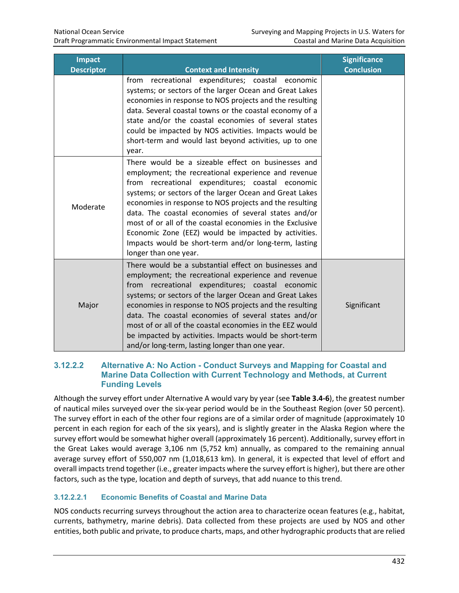| <b>Impact</b><br><b>Descriptor</b> | <b>Context and Intensity</b>                                                                                                                                                                                                                                                                                                                                                                                                                                                                                                                      | <b>Significance</b><br><b>Conclusion</b> |
|------------------------------------|---------------------------------------------------------------------------------------------------------------------------------------------------------------------------------------------------------------------------------------------------------------------------------------------------------------------------------------------------------------------------------------------------------------------------------------------------------------------------------------------------------------------------------------------------|------------------------------------------|
|                                    | recreational expenditures; coastal economic<br>from<br>systems; or sectors of the larger Ocean and Great Lakes<br>economies in response to NOS projects and the resulting<br>data. Several coastal towns or the coastal economy of a<br>state and/or the coastal economies of several states<br>could be impacted by NOS activities. Impacts would be<br>short-term and would last beyond activities, up to one<br>year.                                                                                                                          |                                          |
| Moderate                           | There would be a sizeable effect on businesses and<br>employment; the recreational experience and revenue<br>from recreational expenditures; coastal economic<br>systems; or sectors of the larger Ocean and Great Lakes<br>economies in response to NOS projects and the resulting<br>data. The coastal economies of several states and/or<br>most of or all of the coastal economies in the Exclusive<br>Economic Zone (EEZ) would be impacted by activities.<br>Impacts would be short-term and/or long-term, lasting<br>longer than one year. |                                          |
| Major                              | There would be a substantial effect on businesses and<br>employment; the recreational experience and revenue<br>recreational expenditures; coastal economic<br>from<br>systems; or sectors of the larger Ocean and Great Lakes<br>economies in response to NOS projects and the resulting<br>data. The coastal economies of several states and/or<br>most of or all of the coastal economies in the EEZ would<br>be impacted by activities. Impacts would be short-term<br>and/or long-term, lasting longer than one year.                        | Significant                              |

#### **3.12.2.2 Alternative A: No Action - Conduct Surveys and Mapping for Coastal and Marine Data Collection with Current Technology and Methods, at Current Funding Levels**

Although the survey effort under Alternative A would vary by year (see **Table 3.4-6**), the greatest number of nautical miles surveyed over the six-year period would be in the Southeast Region (over 50 percent). The survey effort in each of the other four regions are of a similar order of magnitude (approximately 10 percent in each region for each of the six years), and is slightly greater in the Alaska Region where the survey effort would be somewhat higher overall (approximately 16 percent). Additionally, survey effort in the Great Lakes would average 3,106 nm (5,752 km) annually, as compared to the remaining annual average survey effort of 550,007 nm (1,018,613 km). In general, it is expected that level of effort and overall impacts trend together (i.e., greater impacts where the survey effort is higher), but there are other factors, such as the type, location and depth of surveys, that add nuance to this trend.

# **3.12.2.2.1 Economic Benefits of Coastal and Marine Data**

NOS conducts recurring surveys throughout the action area to characterize ocean features (e.g., habitat, currents, bathymetry, marine debris). Data collected from these projects are used by NOS and other entities, both public and private, to produce charts, maps, and other hydrographic products that are relied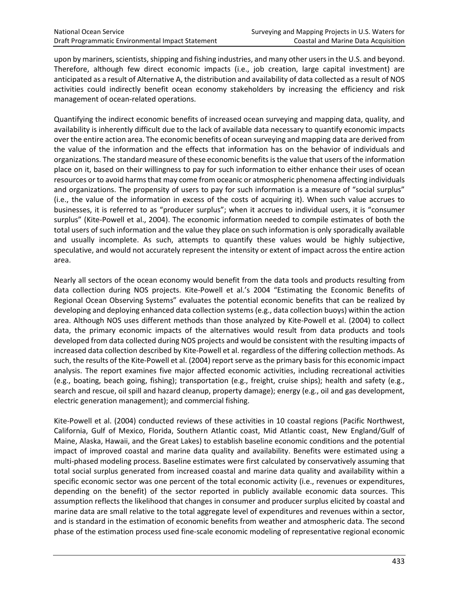upon by mariners, scientists, shipping and fishing industries, and many other users in the U.S. and beyond. Therefore, although few direct economic impacts (i.e., job creation, large capital investment) are anticipated as a result of Alternative A, the distribution and availability of data collected as a result of NOS activities could indirectly benefit ocean economy stakeholders by increasing the efficiency and risk management of ocean-related operations.

Quantifying the indirect economic benefits of increased ocean surveying and mapping data, quality, and availability is inherently difficult due to the lack of available data necessary to quantify economic impacts over the entire action area. The economic benefits of ocean surveying and mapping data are derived from the value of the information and the effects that information has on the behavior of individuals and organizations. The standard measure of these economic benefits is the value that users of the information place on it, based on their willingness to pay for such information to either enhance their uses of ocean resources or to avoid harms that may come from oceanic or atmospheric phenomena affecting individuals and organizations. The propensity of users to pay for such information is a measure of "social surplus" (i.e., the value of the information in excess of the costs of acquiring it). When such value accrues to businesses, it is referred to as "producer surplus"; when it accrues to individual users, it is "consumer surplus" (Kite-Powell et al., 2004). The economic information needed to compile estimates of both the total users of such information and the value they place on such information is only sporadically available and usually incomplete. As such, attempts to quantify these values would be highly subjective, speculative, and would not accurately represent the intensity or extent of impact across the entire action area.

Nearly all sectors of the ocean economy would benefit from the data tools and products resulting from data collection during NOS projects. Kite-Powell et al.'s 2004 "Estimating the Economic Benefits of Regional Ocean Observing Systems" evaluates the potential economic benefits that can be realized by developing and deploying enhanced data collection systems (e.g., data collection buoys) within the action area. Although NOS uses different methods than those analyzed by Kite-Powell et al. (2004) to collect data, the primary economic impacts of the alternatives would result from data products and tools developed from data collected during NOS projects and would be consistent with the resulting impacts of increased data collection described by Kite-Powell et al. regardless of the differing collection methods. As such, the results of the Kite-Powell et al. (2004) report serve as the primary basis for this economic impact analysis. The report examines five major affected economic activities, including recreational activities (e.g., boating, beach going, fishing); transportation (e.g., freight, cruise ships); health and safety (e.g., search and rescue, oil spill and hazard cleanup, property damage); energy (e.g., oil and gas development, electric generation management); and commercial fishing.

Kite-Powell et al. (2004) conducted reviews of these activities in 10 coastal regions (Pacific Northwest, California, Gulf of Mexico, Florida, Southern Atlantic coast, Mid Atlantic coast, New England/Gulf of Maine, Alaska, Hawaii, and the Great Lakes) to establish baseline economic conditions and the potential impact of improved coastal and marine data quality and availability. Benefits were estimated using a multi-phased modeling process. Baseline estimates were first calculated by conservatively assuming that total social surplus generated from increased coastal and marine data quality and availability within a specific economic sector was one percent of the total economic activity (i.e., revenues or expenditures, depending on the benefit) of the sector reported in publicly available economic data sources. This assumption reflects the likelihood that changes in consumer and producer surplus elicited by coastal and marine data are small relative to the total aggregate level of expenditures and revenues within a sector, and is standard in the estimation of economic benefits from weather and atmospheric data. The second phase of the estimation process used fine-scale economic modeling of representative regional economic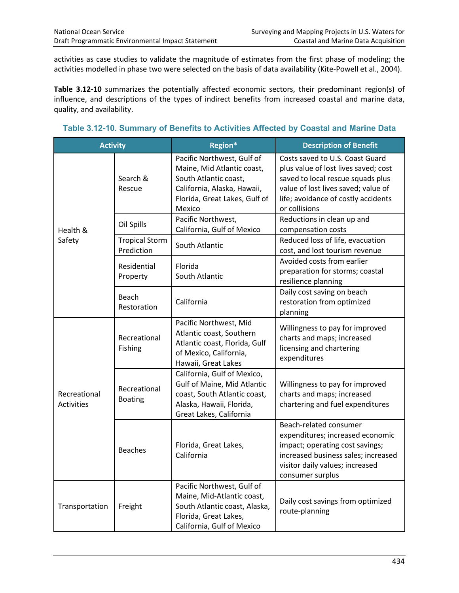activities as case studies to validate the magnitude of estimates from the first phase of modeling; the activities modelled in phase two were selected on the basis of data availability (Kite-Powell et al., 2004).

**Table 3.12-10** summarizes the potentially affected economic sectors, their predominant region(s) of influence, and descriptions of the types of indirect benefits from increased coastal and marine data, quality, and availability.

**Table 3.12-10. Summary of Benefits to Activities Affected by Coastal and Marine Data**

| <b>Activity</b>            |                                     | Region*                                                                                                                                                     | <b>Description of Benefit</b>                                                                                                                                                                               |
|----------------------------|-------------------------------------|-------------------------------------------------------------------------------------------------------------------------------------------------------------|-------------------------------------------------------------------------------------------------------------------------------------------------------------------------------------------------------------|
|                            | Search &<br>Rescue                  | Pacific Northwest, Gulf of<br>Maine, Mid Atlantic coast,<br>South Atlantic coast,<br>California, Alaska, Hawaii,<br>Florida, Great Lakes, Gulf of<br>Mexico | Costs saved to U.S. Coast Guard<br>plus value of lost lives saved; cost<br>saved to local rescue squads plus<br>value of lost lives saved; value of<br>life; avoidance of costly accidents<br>or collisions |
| Health &                   | Oil Spills                          | Pacific Northwest,<br>California, Gulf of Mexico                                                                                                            | Reductions in clean up and<br>compensation costs                                                                                                                                                            |
| Safety                     | <b>Tropical Storm</b><br>Prediction | South Atlantic                                                                                                                                              | Reduced loss of life, evacuation<br>cost, and lost tourism revenue                                                                                                                                          |
|                            | Residential<br>Property             | Florida<br>South Atlantic                                                                                                                                   | Avoided costs from earlier<br>preparation for storms; coastal<br>resilience planning                                                                                                                        |
|                            | Beach<br>Restoration                | California                                                                                                                                                  | Daily cost saving on beach<br>restoration from optimized<br>planning                                                                                                                                        |
|                            | Recreational<br>Fishing             | Pacific Northwest, Mid<br>Atlantic coast, Southern<br>Atlantic coast, Florida, Gulf<br>of Mexico, California,<br>Hawaii, Great Lakes                        | Willingness to pay for improved<br>charts and maps; increased<br>licensing and chartering<br>expenditures                                                                                                   |
| Recreational<br>Activities | Recreational<br><b>Boating</b>      | California, Gulf of Mexico,<br>Gulf of Maine, Mid Atlantic<br>coast, South Atlantic coast,<br>Alaska, Hawaii, Florida,<br>Great Lakes, California           | Willingness to pay for improved<br>charts and maps; increased<br>chartering and fuel expenditures                                                                                                           |
|                            | <b>Beaches</b>                      | Florida, Great Lakes,<br>California                                                                                                                         | Beach-related consumer<br>expenditures; increased economic<br>impact; operating cost savings;<br>increased business sales; increased<br>visitor daily values; increased<br>consumer surplus                 |
| Transportation             | Freight                             | Pacific Northwest, Gulf of<br>Maine, Mid-Atlantic coast,<br>South Atlantic coast, Alaska,<br>Florida, Great Lakes,<br>California, Gulf of Mexico            | Daily cost savings from optimized<br>route-planning                                                                                                                                                         |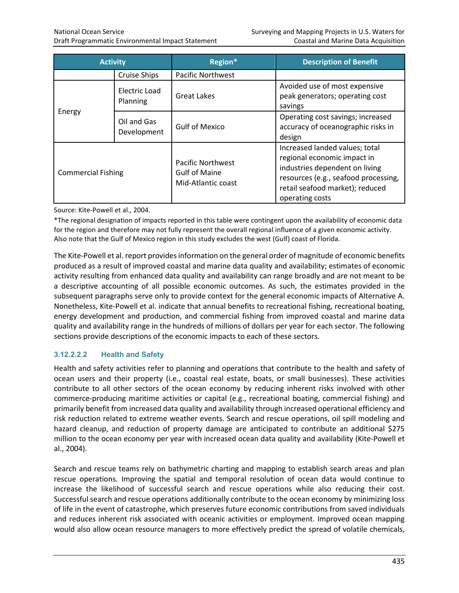| <b>Activity</b>           |                            | Region*                                                                | <b>Description of Benefit</b>                                                                                                                                                                 |
|---------------------------|----------------------------|------------------------------------------------------------------------|-----------------------------------------------------------------------------------------------------------------------------------------------------------------------------------------------|
|                           | <b>Cruise Ships</b>        | <b>Pacific Northwest</b>                                               |                                                                                                                                                                                               |
| Energy                    | Electric Load<br>Planning  | <b>Great Lakes</b>                                                     | Avoided use of most expensive<br>peak generators; operating cost<br>savings                                                                                                                   |
|                           | Oil and Gas<br>Development | <b>Gulf of Mexico</b>                                                  | Operating cost savings; increased<br>accuracy of oceanographic risks in<br>design                                                                                                             |
| <b>Commercial Fishing</b> |                            | <b>Pacific Northwest</b><br><b>Gulf of Maine</b><br>Mid-Atlantic coast | Increased landed values; total<br>regional economic impact in<br>industries dependent on living<br>resources (e.g., seafood processing,<br>retail seafood market); reduced<br>operating costs |

Source: Kite-Powell et al., 2004.

\*The regional designation of impacts reported in this table were contingent upon the availability of economic data for the region and therefore may not fully represent the overall regional influence of a given economic activity. Also note that the Gulf of Mexico region in this study excludes the west (Gulf) coast of Florida.

The Kite-Powell et al. report provides information on the general order of magnitude of economic benefits produced as a result of improved coastal and marine data quality and availability; estimates of economic activity resulting from enhanced data quality and availability can range broadly and are not meant to be a descriptive accounting of all possible economic outcomes. As such, the estimates provided in the subsequent paragraphs serve only to provide context for the general economic impacts of Alternative A. Nonetheless, Kite-Powell et al. indicate that annual benefits to recreational fishing, recreational boating, energy development and production, and commercial fishing from improved coastal and marine data quality and availability range in the hundreds of millions of dollars per year for each sector. The following sections provide descriptions of the economic impacts to each of these sectors.

# **3.12.2.2.2 Health and Safety**

Health and safety activities refer to planning and operations that contribute to the health and safety of ocean users and their property (i.e., coastal real estate, boats, or small businesses). These activities contribute to all other sectors of the ocean economy by reducing inherent risks involved with other commerce-producing maritime activities or capital (e.g., recreational boating, commercial fishing) and primarily benefit from increased data quality and availability through increased operational efficiency and risk reduction related to extreme weather events. Search and rescue operations, oil spill modeling and hazard cleanup, and reduction of property damage are anticipated to contribute an additional \$275 million to the ocean economy per year with increased ocean data quality and availability (Kite-Powell et al., 2004).

Search and rescue teams rely on bathymetric charting and mapping to establish search areas and plan rescue operations. Improving the spatial and temporal resolution of ocean data would continue to increase the likelihood of successful search and rescue operations while also reducing their cost. Successful search and rescue operations additionally contribute to the ocean economy by minimizing loss of life in the event of catastrophe, which preserves future economic contributions from saved individuals and reduces inherent risk associated with oceanic activities or employment. Improved ocean mapping would also allow ocean resource managers to more effectively predict the spread of volatile chemicals,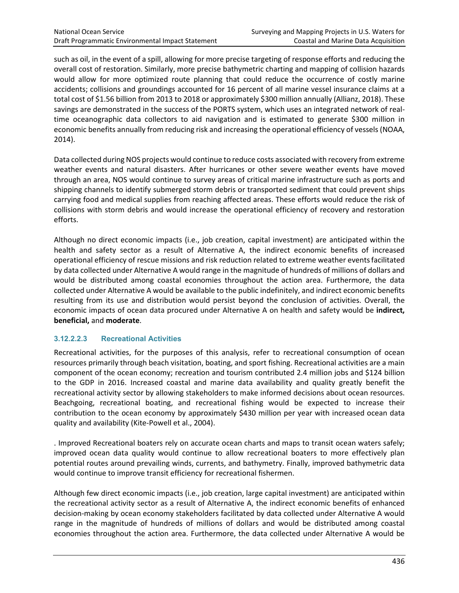such as oil, in the event of a spill, allowing for more precise targeting of response efforts and reducing the overall cost of restoration. Similarly, more precise bathymetric charting and mapping of collision hazards would allow for more optimized route planning that could reduce the occurrence of costly marine accidents; collisions and groundings accounted for 16 percent of all marine vessel insurance claims at a total cost of \$1.56 billion from 2013 to 2018 or approximately \$300 million annually (Allianz, 2018). These savings are demonstrated in the success of the PORTS system, which uses an integrated network of realtime oceanographic data collectors to aid navigation and is estimated to generate \$300 million in economic benefits annually from reducing risk and increasing the operational efficiency of vessels (NOAA, 2014).

Data collected during NOS projects would continue to reduce costs associated with recovery from extreme weather events and natural disasters. After hurricanes or other severe weather events have moved through an area, NOS would continue to survey areas of critical marine infrastructure such as ports and shipping channels to identify submerged storm debris or transported sediment that could prevent ships carrying food and medical supplies from reaching affected areas. These efforts would reduce the risk of collisions with storm debris and would increase the operational efficiency of recovery and restoration efforts.

Although no direct economic impacts (i.e., job creation, capital investment) are anticipated within the health and safety sector as a result of Alternative A, the indirect economic benefits of increased operational efficiency of rescue missions and risk reduction related to extreme weather eventsfacilitated by data collected under Alternative A would range in the magnitude of hundreds of millions of dollars and would be distributed among coastal economies throughout the action area. Furthermore, the data collected under Alternative A would be available to the public indefinitely, and indirect economic benefits resulting from its use and distribution would persist beyond the conclusion of activities. Overall, the economic impacts of ocean data procured under Alternative A on health and safety would be **indirect, beneficial,** and **moderate**.

#### **3.12.2.2.3 Recreational Activities**

Recreational activities, for the purposes of this analysis, refer to recreational consumption of ocean resources primarily through beach visitation, boating, and sport fishing. Recreational activities are a main component of the ocean economy; recreation and tourism contributed 2.4 million jobs and \$124 billion to the GDP in 2016. Increased coastal and marine data availability and quality greatly benefit the recreational activity sector by allowing stakeholders to make informed decisions about ocean resources. Beachgoing, recreational boating, and recreational fishing would be expected to increase their contribution to the ocean economy by approximately \$430 million per year with increased ocean data quality and availability (Kite-Powell et al., 2004).

. Improved Recreational boaters rely on accurate ocean charts and maps to transit ocean waters safely; improved ocean data quality would continue to allow recreational boaters to more effectively plan potential routes around prevailing winds, currents, and bathymetry. Finally, improved bathymetric data would continue to improve transit efficiency for recreational fishermen.

Although few direct economic impacts (i.e., job creation, large capital investment) are anticipated within the recreational activity sector as a result of Alternative A, the indirect economic benefits of enhanced decision-making by ocean economy stakeholders facilitated by data collected under Alternative A would range in the magnitude of hundreds of millions of dollars and would be distributed among coastal economies throughout the action area. Furthermore, the data collected under Alternative A would be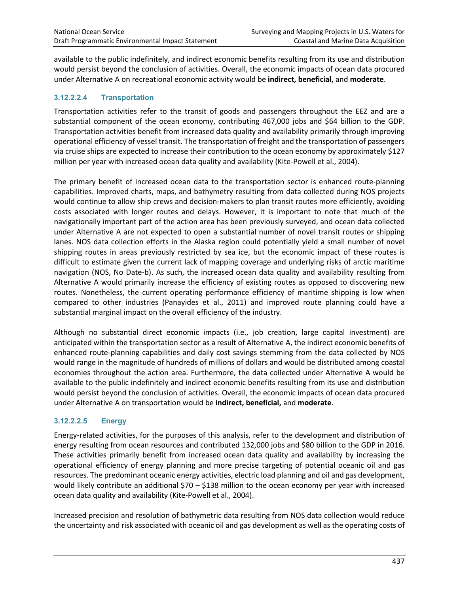available to the public indefinitely, and indirect economic benefits resulting from its use and distribution would persist beyond the conclusion of activities. Overall, the economic impacts of ocean data procured under Alternative A on recreational economic activity would be **indirect, beneficial,** and **moderate**.

#### **3.12.2.2.4 Transportation**

Transportation activities refer to the transit of goods and passengers throughout the EEZ and are a substantial component of the ocean economy, contributing 467,000 jobs and \$64 billion to the GDP. Transportation activities benefit from increased data quality and availability primarily through improving operational efficiency of vessel transit. The transportation of freight and the transportation of passengers via cruise ships are expected to increase their contribution to the ocean economy by approximately \$127 million per year with increased ocean data quality and availability (Kite-Powell et al., 2004).

The primary benefit of increased ocean data to the transportation sector is enhanced route-planning capabilities. Improved charts, maps, and bathymetry resulting from data collected during NOS projects would continue to allow ship crews and decision-makers to plan transit routes more efficiently, avoiding costs associated with longer routes and delays. However, it is important to note that much of the navigationally important part of the action area has been previously surveyed, and ocean data collected under Alternative A are not expected to open a substantial number of novel transit routes or shipping lanes. NOS data collection efforts in the Alaska region could potentially yield a small number of novel shipping routes in areas previously restricted by sea ice, but the economic impact of these routes is difficult to estimate given the current lack of mapping coverage and underlying risks of arctic maritime navigation (NOS, No Date-b). As such, the increased ocean data quality and availability resulting from Alternative A would primarily increase the efficiency of existing routes as opposed to discovering new routes. Nonetheless, the current operating performance efficiency of maritime shipping is low when compared to other industries (Panayides et al., 2011) and improved route planning could have a substantial marginal impact on the overall efficiency of the industry.

Although no substantial direct economic impacts (i.e., job creation, large capital investment) are anticipated within the transportation sector as a result of Alternative A, the indirect economic benefits of enhanced route-planning capabilities and daily cost savings stemming from the data collected by NOS would range in the magnitude of hundreds of millions of dollars and would be distributed among coastal economies throughout the action area. Furthermore, the data collected under Alternative A would be available to the public indefinitely and indirect economic benefits resulting from its use and distribution would persist beyond the conclusion of activities. Overall, the economic impacts of ocean data procured under Alternative A on transportation would be **indirect, beneficial,** and **moderate**.

#### **3.12.2.2.5 Energy**

Energy-related activities, for the purposes of this analysis, refer to the development and distribution of energy resulting from ocean resources and contributed 132,000 jobs and \$80 billion to the GDP in 2016. These activities primarily benefit from increased ocean data quality and availability by increasing the operational efficiency of energy planning and more precise targeting of potential oceanic oil and gas resources. The predominant oceanic energy activities, electric load planning and oil and gas development, would likely contribute an additional \$70 – \$138 million to the ocean economy per year with increased ocean data quality and availability (Kite-Powell et al., 2004).

Increased precision and resolution of bathymetric data resulting from NOS data collection would reduce the uncertainty and risk associated with oceanic oil and gas development as well as the operating costs of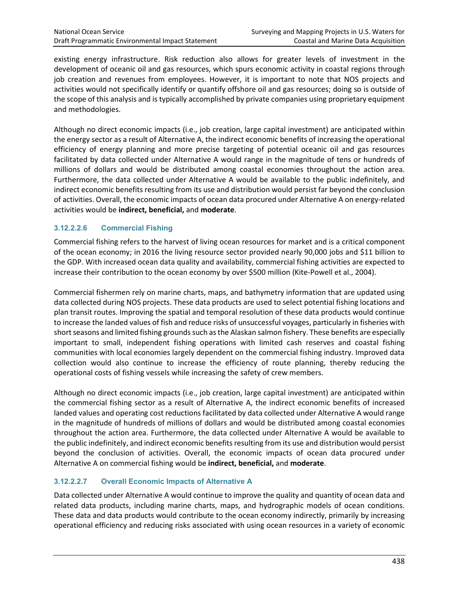existing energy infrastructure. Risk reduction also allows for greater levels of investment in the development of oceanic oil and gas resources, which spurs economic activity in coastal regions through job creation and revenues from employees. However, it is important to note that NOS projects and activities would not specifically identify or quantify offshore oil and gas resources; doing so is outside of the scope of this analysis and is typically accomplished by private companies using proprietary equipment and methodologies.

Although no direct economic impacts (i.e., job creation, large capital investment) are anticipated within the energy sector as a result of Alternative A, the indirect economic benefits of increasing the operational efficiency of energy planning and more precise targeting of potential oceanic oil and gas resources facilitated by data collected under Alternative A would range in the magnitude of tens or hundreds of millions of dollars and would be distributed among coastal economies throughout the action area. Furthermore, the data collected under Alternative A would be available to the public indefinitely, and indirect economic benefits resulting from its use and distribution would persist far beyond the conclusion of activities. Overall, the economic impacts of ocean data procured under Alternative A on energy-related activities would be **indirect, beneficial,** and **moderate**.

# **3.12.2.2.6 Commercial Fishing**

Commercial fishing refers to the harvest of living ocean resources for market and is a critical component of the ocean economy; in 2016 the living resource sector provided nearly 90,000 jobs and \$11 billion to the GDP. With increased ocean data quality and availability, commercial fishing activities are expected to increase their contribution to the ocean economy by over \$500 million (Kite-Powell et al., 2004).

Commercial fishermen rely on marine charts, maps, and bathymetry information that are updated using data collected during NOS projects. These data products are used to select potential fishing locations and plan transit routes. Improving the spatial and temporal resolution of these data products would continue to increase the landed values of fish and reduce risks of unsuccessful voyages, particularly in fisheries with short seasons and limited fishing grounds such as the Alaskan salmon fishery. These benefits are especially important to small, independent fishing operations with limited cash reserves and coastal fishing communities with local economies largely dependent on the commercial fishing industry. Improved data collection would also continue to increase the efficiency of route planning, thereby reducing the operational costs of fishing vessels while increasing the safety of crew members.

Although no direct economic impacts (i.e., job creation, large capital investment) are anticipated within the commercial fishing sector as a result of Alternative A, the indirect economic benefits of increased landed values and operating cost reductions facilitated by data collected under Alternative A would range in the magnitude of hundreds of millions of dollars and would be distributed among coastal economies throughout the action area. Furthermore, the data collected under Alternative A would be available to the public indefinitely, and indirect economic benefits resulting from its use and distribution would persist beyond the conclusion of activities. Overall, the economic impacts of ocean data procured under Alternative A on commercial fishing would be **indirect, beneficial,** and **moderate**.

#### **3.12.2.2.7 Overall Economic Impacts of Alternative A**

Data collected under Alternative A would continue to improve the quality and quantity of ocean data and related data products, including marine charts, maps, and hydrographic models of ocean conditions. These data and data products would contribute to the ocean economy indirectly, primarily by increasing operational efficiency and reducing risks associated with using ocean resources in a variety of economic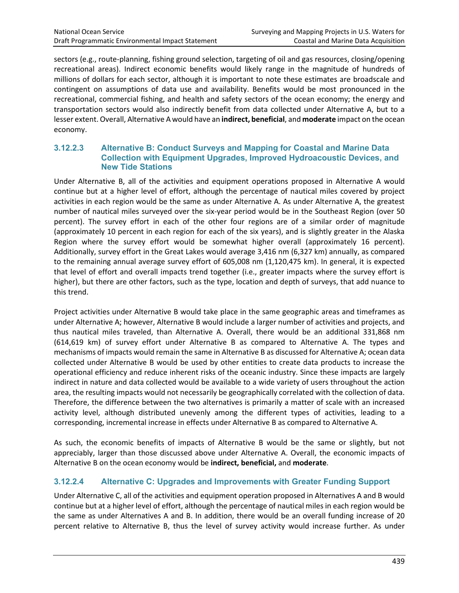sectors (e.g., route-planning, fishing ground selection, targeting of oil and gas resources, closing/opening recreational areas). Indirect economic benefits would likely range in the magnitude of hundreds of millions of dollars for each sector, although it is important to note these estimates are broadscale and contingent on assumptions of data use and availability. Benefits would be most pronounced in the recreational, commercial fishing, and health and safety sectors of the ocean economy; the energy and transportation sectors would also indirectly benefit from data collected under Alternative A, but to a lesser extent. Overall, Alternative A would have an **indirect, beneficial**, and **moderate** impact on the ocean economy.

#### **3.12.2.3 Alternative B: Conduct Surveys and Mapping for Coastal and Marine Data Collection with Equipment Upgrades, Improved Hydroacoustic Devices, and New Tide Stations**

Under Alternative B, all of the activities and equipment operations proposed in Alternative A would continue but at a higher level of effort, although the percentage of nautical miles covered by project activities in each region would be the same as under Alternative A. As under Alternative A, the greatest number of nautical miles surveyed over the six-year period would be in the Southeast Region (over 50 percent). The survey effort in each of the other four regions are of a similar order of magnitude (approximately 10 percent in each region for each of the six years), and is slightly greater in the Alaska Region where the survey effort would be somewhat higher overall (approximately 16 percent). Additionally, survey effort in the Great Lakes would average 3,416 nm (6,327 km) annually, as compared to the remaining annual average survey effort of 605,008 nm (1,120,475 km). In general, it is expected that level of effort and overall impacts trend together (i.e., greater impacts where the survey effort is higher), but there are other factors, such as the type, location and depth of surveys, that add nuance to this trend.

Project activities under Alternative B would take place in the same geographic areas and timeframes as under Alternative A; however, Alternative B would include a larger number of activities and projects, and thus nautical miles traveled, than Alternative A. Overall, there would be an additional 331,868 nm (614,619 km) of survey effort under Alternative B as compared to Alternative A. The types and mechanisms of impacts would remain the same in Alternative B as discussed for Alternative A; ocean data collected under Alternative B would be used by other entities to create data products to increase the operational efficiency and reduce inherent risks of the oceanic industry. Since these impacts are largely indirect in nature and data collected would be available to a wide variety of users throughout the action area, the resulting impacts would not necessarily be geographically correlated with the collection of data. Therefore, the difference between the two alternatives is primarily a matter of scale with an increased activity level, although distributed unevenly among the different types of activities, leading to a corresponding, incremental increase in effects under Alternative B as compared to Alternative A.

As such, the economic benefits of impacts of Alternative B would be the same or slightly, but not appreciably, larger than those discussed above under Alternative A. Overall, the economic impacts of Alternative B on the ocean economy would be **indirect, beneficial,** and **moderate**.

# **3.12.2.4 Alternative C: Upgrades and Improvements with Greater Funding Support**

Under Alternative C, all of the activities and equipment operation proposed in Alternatives A and B would continue but at a higher level of effort, although the percentage of nautical miles in each region would be the same as under Alternatives A and B. In addition, there would be an overall funding increase of 20 percent relative to Alternative B, thus the level of survey activity would increase further. As under